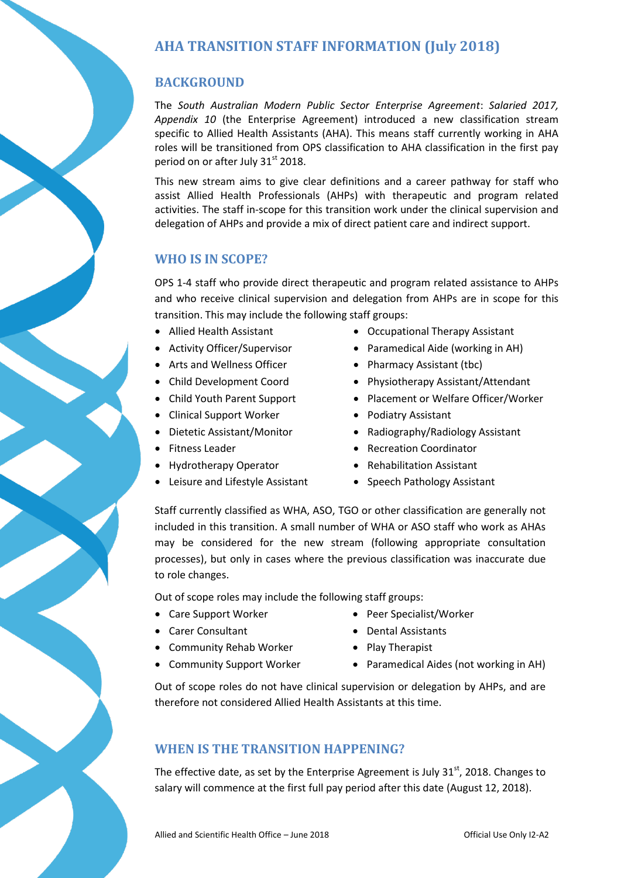# **AHA TRANSITION STAFF INFORMATION (July 2018)**

## **BACKGROUND**

The *South Australian Modern Public Sector Enterprise Agreement*: *Salaried 2017, Appendix 10* (the Enterprise Agreement) introduced a new classification stream specific to Allied Health Assistants (AHA). This means staff currently working in AHA roles will be transitioned from OPS classification to AHA classification in the first pay period on or after July  $31<sup>st</sup>$  2018.

This new stream aims to give clear definitions and a career pathway for staff who assist Allied Health Professionals (AHPs) with therapeutic and program related activities. The staff in-scope for this transition work under the clinical supervision and delegation of AHPs and provide a mix of direct patient care and indirect support.

### **WHO IS IN SCOPE?**

OPS 1-4 staff who provide direct therapeutic and program related assistance to AHPs and who receive clinical supervision and delegation from AHPs are in scope for this transition. This may include the following staff groups:

- Allied Health Assistant
- Activity Officer/Supervisor
- Arts and Wellness Officer
- Child Development Coord
- Child Youth Parent Support
- Clinical Support Worker
- Dietetic Assistant/Monitor
- Fitness Leader
- Hydrotherapy Operator
- Leisure and Lifestyle Assistant
- Occupational Therapy Assistant
- Paramedical Aide (working in AH)
- Pharmacy Assistant (tbc)
- Physiotherapy Assistant/Attendant
- Placement or Welfare Officer/Worker
- Podiatry Assistant
- Radiography/Radiology Assistant
- Recreation Coordinator
- Rehabilitation Assistant
- Speech Pathology Assistant

Staff currently classified as WHA, ASO, TGO or other classification are generally not included in this transition. A small number of WHA or ASO staff who work as AHAs may be considered for the new stream (following appropriate consultation processes), but only in cases where the previous classification was inaccurate due to role changes.

Out of scope roles may include the following staff groups:

- Care Support Worker
- Carer Consultant
- Community Rehab Worker

• Community Support Worker

- Peer Specialist/Worker
- Dental Assistants
- Play Therapist
- Paramedical Aides (not working in AH)

Out of scope roles do not have clinical supervision or delegation by AHPs, and are therefore not considered Allied Health Assistants at this time.

### **WHEN IS THE TRANSITION HAPPENING?**

The effective date, as set by the Enterprise Agreement is July  $31<sup>st</sup>$ , 2018. Changes to salary will commence at the first full pay period after this date (August 12, 2018).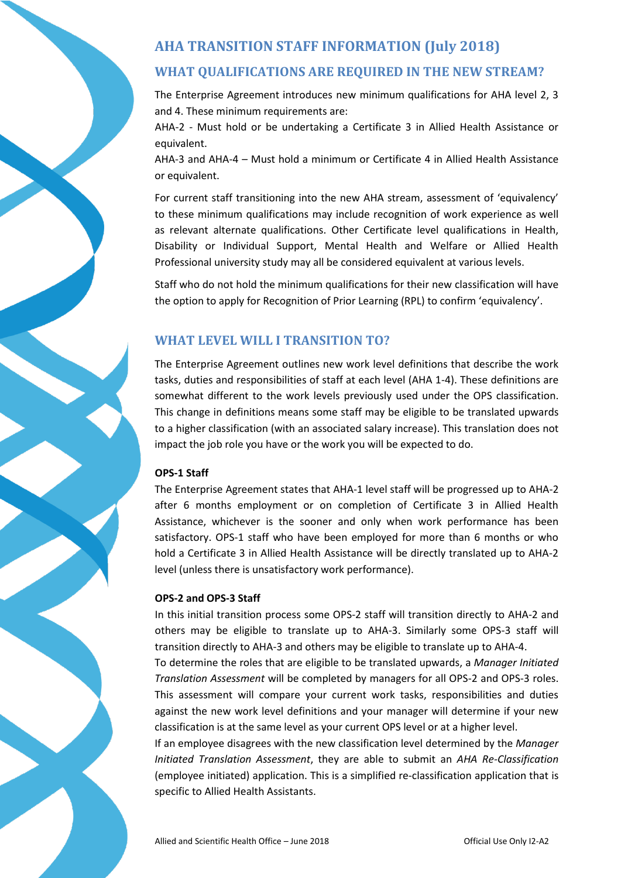# **AHA TRANSITION STAFF INFORMATION (July 2018)**

## **WHAT QUALIFICATIONS ARE REQUIRED IN THE NEW STREAM?**

The Enterprise Agreement introduces new minimum qualifications for AHA level 2, 3 and 4. These minimum requirements are:

AHA-2 - Must hold or be undertaking a Certificate 3 in Allied Health Assistance or equivalent.

AHA-3 and AHA-4 – Must hold a minimum or Certificate 4 in Allied Health Assistance or equivalent.

For current staff transitioning into the new AHA stream, assessment of 'equivalency' to these minimum qualifications may include recognition of work experience as well as relevant alternate qualifications. Other Certificate level qualifications in Health, Disability or Individual Support, Mental Health and Welfare or Allied Health Professional university study may all be considered equivalent at various levels.

Staff who do not hold the minimum qualifications for their new classification will have the option to apply for Recognition of Prior Learning (RPL) to confirm 'equivalency'.

## **WHAT LEVEL WILL I TRANSITION TO?**

The Enterprise Agreement outlines new work level definitions that describe the work tasks, duties and responsibilities of staff at each level (AHA 1-4). These definitions are somewhat different to the work levels previously used under the OPS classification. This change in definitions means some staff may be eligible to be translated upwards to a higher classification (with an associated salary increase). This translation does not impact the job role you have or the work you will be expected to do.

#### **OPS-1 Staff**

The Enterprise Agreement states that AHA-1 level staff will be progressed up to AHA-2 after 6 months employment or on completion of Certificate 3 in Allied Health Assistance, whichever is the sooner and only when work performance has been satisfactory. OPS-1 staff who have been employed for more than 6 months or who hold a Certificate 3 in Allied Health Assistance will be directly translated up to AHA-2 level (unless there is unsatisfactory work performance).

#### **OPS-2 and OPS-3 Staff**

In this initial transition process some OPS-2 staff will transition directly to AHA-2 and others may be eligible to translate up to AHA-3. Similarly some OPS-3 staff will transition directly to AHA-3 and others may be eligible to translate up to AHA-4. To determine the roles that are eligible to be translated upwards, a *Manager Initiated Translation Assessment* will be completed by managers for all OPS-2 and OPS-3 roles. This assessment will compare your current work tasks, responsibilities and duties against the new work level definitions and your manager will determine if your new

If an employee disagrees with the new classification level determined by the *Manager Initiated Translation Assessment*, they are able to submit an *AHA Re-Classification* (employee initiated) application. This is a simplified re-classification application that is specific to Allied Health Assistants.

classification is at the same level as your current OPS level or at a higher level.